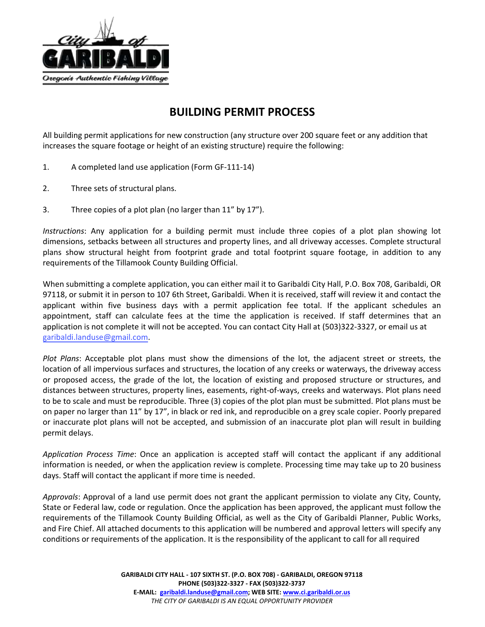

## **BUILDING PERMIT PROCESS**

All building permit applications for new construction (any structure over 200 square feet or any addition that increases the square footage or height of an existing structure) require the following:

- 1. A completed land use application (Form GF-111-14)
- 2. Three sets of structural plans.
- 3. Three copies of a plot plan (no larger than 11" by 17").

*Instructions*: Any application for a building permit must include three copies of a plot plan showing lot dimensions, setbacks between all structures and property lines, and all driveway accesses. Complete structural plans show structural height from footprint grade and total footprint square footage, in addition to any requirements of the Tillamook County Building Official.

When submitting a complete application, you can either mail it to Garibaldi City Hall, P.O. Box 708, Garibaldi, OR 97118, or submit it in person to 107 6th Street, Garibaldi. When it is received, staff will review it and contact the applicant within five business days with a permit application fee total. If the applicant schedules an appointment, staff can calculate fees at the time the application is received. If staff determines that an application is not complete it will not be accepted. You can contact City Hall at (503)322-3327, or email us at [garibaldi.landuse@gmail](mailto:blake@ci.garibaldi.or.us).com.

*Plot Plans*: Acceptable plot plans must show the dimensions of the lot, the adjacent street or streets, the location of all impervious surfaces and structures, the location of any creeks or waterways, the driveway access or proposed access, the grade of the lot, the location of existing and proposed structure or structures, and distances between structures, property lines, easements, right-of-ways, creeks and waterways. Plot plans need to be to scale and must be reproducible. Three (3) copies of the plot plan must be submitted. Plot plans must be on paper no larger than 11" by 17", in black or red ink, and reproducible on a grey scale copier. Poorly prepared or inaccurate plot plans will not be accepted, and submission of an inaccurate plot plan will result in building permit delays.

*Application Process Time*: Once an application is accepted staff will contact the applicant if any additional information is needed, or when the application review is complete. Processing time may take up to 20 business days. Staff will contact the applicant if more time is needed.

*Approvals*: Approval of a land use permit does not grant the applicant permission to violate any City, County, State or Federal law, code or regulation. Once the application has been approved, the applicant must follow the requirements of the Tillamook County Building Official, as well as the City of Garibaldi Planner, Public Works, and Fire Chief. All attached documents to this application will be numbered and approval letters will specify any conditions or requirements of the application. It is the responsibility of the applicant to call for all required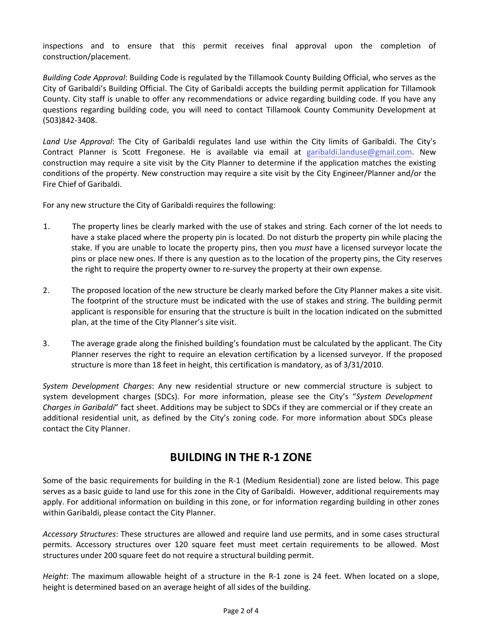inspections and to ensure that this permit receives final approval upon the completion of construction/placement.

*Building Code Approval*: Building Code is regulated by the Tillamook County Building Official, who serves as the City of Garibaldi's Building Official. The City of Garibaldi accepts the building permit application for Tillamook County. City staff is unable to offer any recommendations or advice regarding building code. If you have any questions regarding building code, you will need to contact Tillamook County Community Development at (503)842-3408.

*Land Use Approval*: The City of Garibaldi regulates land use within the City limits of Garibaldi. The City's Contract Planner is Scott Fregonese. He is available via email at [garibaldi.landuse@gmail.com](mailto:blake@ci.garibaldi.or.us). New construction may require a site visit by the City Planner to determine if the application matches the existing conditions of the property. New construction may require a site visit by the City Engineer/Planner and/or the Fire Chief of Garibaldi.

For any new structure the City of Garibaldi requires the following:

- 1. The property lines be clearly marked with the use of stakes and string. Each corner of the lot needs to have a stake placed where the property pin is located. Do not disturb the property pin while placing the stake. If you are unable to locate the property pins, then you *must* have a licensed surveyor locate the pins or place new ones. If there is any question as to the location of the property pins, the City reserves the right to require the property owner to re-survey the property at their own expense.
- 2. The proposed location of the new structure be clearly marked before the City Planner makes a site visit. The footprint of the structure must be indicated with the use of stakes and string. The building permit applicant is responsible for ensuring that the structure is built in the location indicated on the submitted plan, at the time of the City Planner's site visit.
- 3. The average grade along the finished building's foundation must be calculated by the applicant. The City Planner reserves the right to require an elevation certification by a licensed surveyor. If the proposed structure is more than 18 feet in height, this certification is mandatory, as of 3/31/2010.

*System Development Charges*: Any new residential structure or new commercial structure is subject to system development charges (SDCs). For more information, please see the City's "*System Development Charges in Garibaldi*" fact sheet. Additions may be subject to SDCs if they are commercial or if they create an additional residential unit, as defined by the City's zoning code. For more information about SDCs please contact the City Planner.

## **BUILDING IN THE R-1 ZONE**

Some of the basic requirements for building in the R-1 (Medium Residential) zone are listed below. This page serves as a basic guide to land use for this zone in the City of Garibaldi. However, additional requirements may apply. For additional information on building in this zone, or for information regarding building in other zones within Garibaldi, please contact the City Planner.

*Accessory Structures*: These structures are allowed and require land use permits, and in some cases structural permits. Accessory structures over 120 square feet must meet certain requirements to be allowed. Most structures under 200 square feet do not require a structural building permit.

*Height*: The maximum allowable height of a structure in the R-1 zone is 24 feet. When located on a slope, height is determined based on an average height of all sides of the building.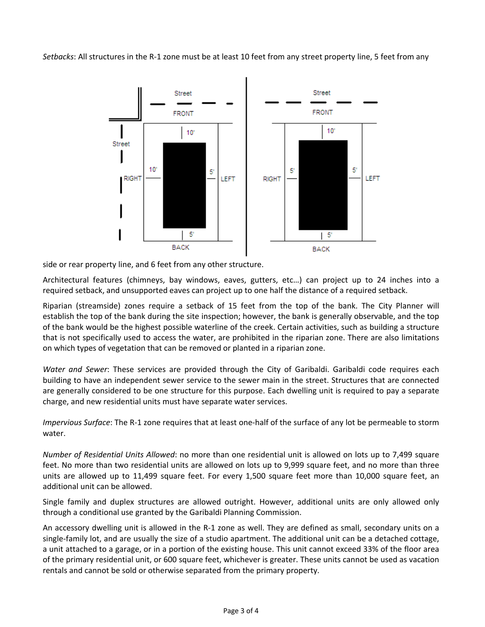*Setbacks*: All structures in the R-1 zone must be at least 10 feet from any street property line, 5 feet from any



side or rear property line, and 6 feet from any other structure.

Architectural features (chimneys, bay windows, eaves, gutters, etc…) can project up to 24 inches into a required setback, and unsupported eaves can project up to one half the distance of a required setback.

Riparian (streamside) zones require a setback of 15 feet from the top of the bank. The City Planner will establish the top of the bank during the site inspection; however, the bank is generally observable, and the top of the bank would be the highest possible waterline of the creek. Certain activities, such as building a structure that is not specifically used to access the water, are prohibited in the riparian zone. There are also limitations on which types of vegetation that can be removed or planted in a riparian zone.

*Water and Sewer*: These services are provided through the City of Garibaldi. Garibaldi code requires each building to have an independent sewer service to the sewer main in the street. Structures that are connected are generally considered to be one structure for this purpose. Each dwelling unit is required to pay a separate charge, and new residential units must have separate water services.

*Impervious Surface*: The R-1 zone requires that at least one-half of the surface of any lot be permeable to storm water.

*Number of Residential Units Allowed*: no more than one residential unit is allowed on lots up to 7,499 square feet. No more than two residential units are allowed on lots up to 9,999 square feet, and no more than three units are allowed up to 11,499 square feet. For every 1,500 square feet more than 10,000 square feet, an additional unit can be allowed.

Single family and duplex structures are allowed outright. However, additional units are only allowed only through a conditional use granted by the Garibaldi Planning Commission.

An accessory dwelling unit is allowed in the R-1 zone as well. They are defined as small, secondary units on a single-family lot, and are usually the size of a studio apartment. The additional unit can be a detached cottage, a unit attached to a garage, or in a portion of the existing house. This unit cannot exceed 33% of the floor area of the primary residential unit, or 600 square feet, whichever is greater. These units cannot be used as vacation rentals and cannot be sold or otherwise separated from the primary property.